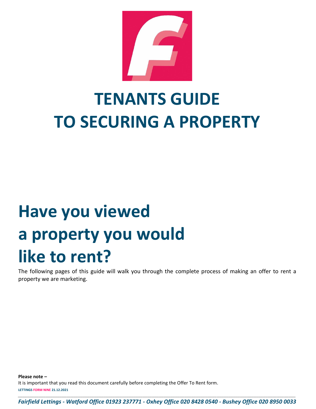

# **TENANTS GUIDE TO SECURING A PROPERTY**

# **Have you viewed a property you would like to rent?**

The following pages of this guide will walk you through the complete process of making an offer to rent a property we are marketing.

**LETTINGS FORM NINE 21.12.2021** *\_\_\_\_\_\_\_\_\_\_\_\_\_\_\_\_\_\_\_\_\_\_\_\_\_\_\_\_\_\_\_\_\_\_\_\_\_\_\_\_\_\_\_\_\_\_\_\_\_\_\_\_\_\_\_\_\_\_\_\_\_\_\_\_\_\_\_\_\_\_\_\_\_\_\_\_\_\_\_\_\_\_\_\_\_\_\_\_\_\_\_\_\_\_\_\_\_\_\_\_\_\_\_\_\_\_\_\_\_\_\_\_\_\_\_\_\_\_\_\_* **Please note –** It is important that you read this document carefully before completing the Offer To Rent form.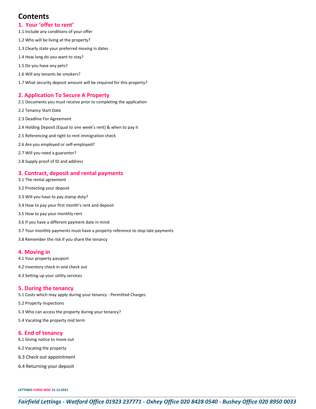# **Contents**

#### **1. Your 'offer to rent'**

- 1.1 Include any conditions of your offer
- 1.2 Who will be living at the property?
- 1.3 Clearly state your preferred moving in dates
- 1.4 How long do you want to stay?
- 1.5 Do you have any pets?
- 1.6 Will any tenants be smokers?
- 1.7 What security deposit amount will be required for this property?

#### **2. Application To Secure A Property**

- 2.1 Documents you must receive prior to completing the application
- 2.2 Tenancy Start Date
- 2.3 Deadline For Agreement
- 2.4 Holding Deposit (Equal to one week's rent) & when to pay it
- 2.5 Referencing and right to rent immigration check
- 2.6 Are you employed or self-employed?
- 2.7 Will you need a guarantor?
- 2.8 Supply proof of ID and address

#### **3. Contract, deposit and rental payments**

- 3.1 The rental agreement
- 3.2 Protecting your deposit
- 3.3 Will you have to pay stamp duty?
- 3.4 How to pay your first month's rent and deposit
- 3.5 How to pay your monthly rent
- 3.6 If you have a different payment date in mind
- 3.7 Your monthly payments must have a property reference to stop late payments
- 3.8 Remember the risk if you share the tenancy

#### **4. Moving in**

- 4.1 Your property passport
- 4.2 Inventory check in and check out
- 4.3 Setting up your utility services

#### **5. During the tenancy**

- 5.1 Costs which may apply during your tenancy Permitted Charges
- 5.2 Property inspections
- 5.3 Who can access the property during your tenancy?
- 5.4 Vacating the property mid term

#### **6. End of tenancy**

- 6.1 Giving notice to move out
- 6.2 Vacating the property
- 6.3 Check out appointment
- 6.4 Returning your deposit

**LETTINGS FORM NINE 21.12.2021**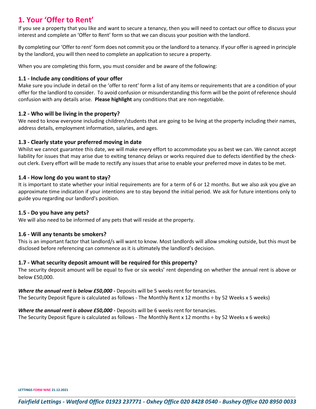# **1. Your 'Offer to Rent'**

If you see a property that you like and want to secure a tenancy, then you will need to contact our office to discuss your interest and complete an 'Offer to Rent' form so that we can discuss your position with the landlord.

By completing our 'Offer to rent' form does not commit you or the landlord to a tenancy. If your offer is agreed in principle by the landlord, you will then need to complete an application to secure a property.

When you are completing this form, you must consider and be aware of the following:

### **1.1 - Include any conditions of your offer**

Make sure you include in detail on the 'offer to rent' form a list of any items or requirements that are a condition of your offer for the landlord to consider. To avoid confusion or misunderstanding this form will be the point of reference should confusion with any details arise. **Please highlight** any conditions that are non-negotiable.

# **1.2 - Who will be living in the property?**

We need to know everyone including children/students that are going to be living at the property including their names, address details, employment information, salaries, and ages.

# **1.3 - Clearly state your preferred moving in date**

Whilst we cannot guarantee this date, we will make every effort to accommodate you as best we can. We cannot accept liability for issues that may arise due to exiting tenancy delays or works required due to defects identified by the checkout clerk. Every effort will be made to rectify any issues that arise to enable your preferred move in dates to be met.

# **1.4 - How long do you want to stay?**

It is important to state whether your initial requirements are for a term of 6 or 12 months. But we also ask you give an approximate time indication if your intentions are to stay beyond the initial period. We ask for future intentions only to guide you regarding our landlord's position.

# **1.5 - Do you have any pets?**

We will also need to be informed of any pets that will reside at the property.

# **1.6 - Will any tenants be smokers?**

This is an important factor that landlord/s will want to know. Most landlords will allow smoking outside, but this must be disclosed before referencing can commence as it is ultimately the landlord's decision.

# **1.7 - What security deposit amount will be required for this property?**

The security deposit amount will be equal to five or six weeks' rent depending on whether the annual rent is above or below £50,000.

#### *Where the annual rent is below £50,000 -* Deposits will be 5 weeks rent for tenancies.

The Security Deposit figure is calculated as follows - The Monthly Rent x 12 months ÷ by 52 Weeks x 5 weeks)

#### *Where the annual rent is above £50,000 -* Deposits will be 6 weeks rent for tenancies.

The Security Deposit figure is calculated as follows - The Monthly Rent x 12 months ÷ by 52 Weeks x 6 weeks)

**LETTINGS FORM NINE 21.12.2021**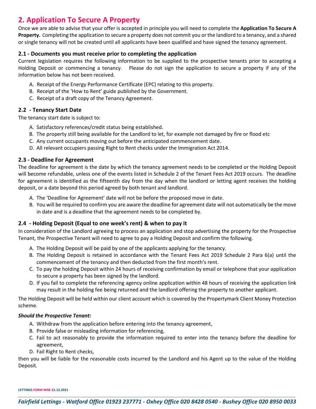# **2. Application To Secure A Property**

Once we are able to advise that your offer is accepted in principle you will need to complete the **Application To Secure A Property.** Completing the application to secure a property does not commit you or the landlord to a tenancy, and a shared or single tenancy will not be created until all applicants have been qualified and have signed the tenancy agreement.

# **2.1 - Documents you must receive prior to completing the application**

Current legislation requires the following information to be supplied to the prospective tenants prior to accepting a Holding Deposit or commencing a tenancy. Please do not sign the application to secure a property if any of the information below has not been received.

- A. Receipt of the Energy Performance Certificate (EPC) relating to this property.
- B. Receipt of the 'How to Rent' guide published by the Government.
- C. Receipt of a draft copy of the Tenancy Agreement.

# **2.2 - Tenancy Start Date**

The tenancy start date is subject to:

- A. Satisfactory references/credit status being established.
- B. The property still being available for the Landlord to let, for example not damaged by fire or flood etc
- C. Any current occupants moving out before the anticipated commencement date.
- D. All relevant occupiers passing Right to Rent checks under the Immigration Act 2014.

#### **2.3 - Deadline For Agreement**

The deadline for agreement is the date by which the tenancy agreement needs to be completed or the Holding Deposit will become refundable, unless one of the events listed in Schedule 2 of the Tenant Fees Act 2019 occurs. The deadline for agreement is identified as the fifteenth day from the day when the landlord or letting agent receives the holding deposit, or a date beyond this period agreed by both tenant and landlord.

- A. The 'Deadline for Agreement' date will not be before the proposed move in date.
- B. You will be required to confirm you are aware the deadline for agreement date will not automatically be the move in date and is a deadline that the agreement needs to be completed by.

# **2.4 - Holding Deposit (Equal to one week's rent) & when to pay it**

In consideration of the Landlord agreeing to process an application and stop advertising the property for the Prospective Tenant, the Prospective Tenant will need to agree to pay a Holding Deposit and confirm the following.

- A. The Holding Deposit will be paid by one of the applicants applying for the tenancy.
- B. The Holding Deposit is retained in accordance with the Tenant Fees Act 2019 Schedule 2 Para 6(a) until the commencement of the tenancy and then deducted from the first month's rent.
- C. To pay the holding Deposit within 24 hours of receiving confirmation by email or telephone that your application to secure a property has been signed by the landlord.
- D. If you fail to complete the referencing agency online application within 48 hours of receiving the application link may result in the holding fee being returned and the landlord offering the property to another applicant.

The Holding Deposit will be held within our client account which is covered by the Propertymark Client Money Protection scheme.

#### *Should the Prospective Tenant:*

- A. Withdraw from the application before entering into the tenancy agreement,
- B. Provide false or misleading information for referencing,
- C. Fail to act reasonably to provide the information required to enter into the tenancy before the deadline for agreement,
- D. Fail Right to Rent checks,

then you will be liable for the reasonable costs incurred by the Landlord and his Agent up to the value of the Holding Deposit.

**LETTINGS FORM NINE 21.12.2021**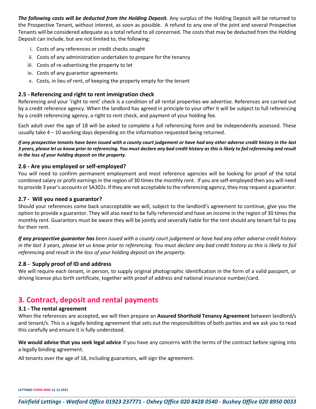*The following costs will be deducted from the Holding Deposit.* Any surplus of the Holding Deposit will be returned to the Prospective Tenant, without interest, as soon as possible. A refund to any one of the joint and several Prospective Tenants will be considered adequate as a total refund to all concerned. The costs that may be deducted from the Holding Deposit can include, but are not limited to, the following:

- i. Costs of any references or credit checks sought
- ii. Costs of any administration undertaken to prepare for the tenancy
- iii. Costs of re-advertising the property to let
- iv. Costs of any guarantor agreements
- v. Costs, in lieu of rent, of keeping the property empty for the tenant

#### **2.5 - Referencing and right to rent immigration check**

Referencing and your 'right to rent' check is a condition of all rental properties we advertise. References are carried out by a credit reference agency. When the landlord has agreed in principle to your offer it will be subject to full referencing by a credit referencing agency, a right to rent check, and payment of your holding fee.

Each adult over the age of 18 will be asked to complete a full referencing form and be independently assessed. These usually take  $4 - 10$  working days depending on the information requested being returned.

*If any prospective tenants have been issued with a county court judgement or have had any other adverse credit history in the last 3 years, please let us know prior to referencing. You must declare any bad credit history as this is likely to fail referencing and result in the loss of your holding deposit on the property.* 

#### **2.6 - Are you employed or self-employed?**

You will need to confirm permanent employment and most reference agencies will be looking for proof of the total combined salary or profit earnings in the region of 30 times the monthly rent. If you are self-employed then you will need to provide 3 year's accounts or SA302s. If they are not acceptable to the referencing agency, they may request a guarantor.

#### **2.7 - Will you need a guarantor?**

Should your references come back unacceptable we will, subject to the landlord's agreement to continue, give you the option to provide a guarantor. They will also need to be fully referenced and have an income in the region of 30 times the monthly rent. Guarantors must be aware they will be jointly and severally liable for the rent should any tenant fail to pay for their rent.

*If any prospective guarantor has been issued with a county court judgement or have had any other adverse credit history in the last 3 years, please let us know prior to referencing. You must declare any bad credit history as this is likely to fail referencing and result in the loss of your holding deposit on the property.* 

#### **2.8 - Supply proof of ID and address**

We will require each tenant, in person, to supply original photographic identification in the form of a valid passport, or driving license plus birth certificate, together with proof of address and national insurance number/card.

# **3. Contract, deposit and rental payments**

#### **3.1 - The rental agreement**

When the references are accepted, we will then prepare an **Assured Shorthold Tenancy Agreement** between landlord/s and tenant/s. This is a legally binding agreement that sets out the responsibilities of both parties and we ask you to read this carefully and ensure it is fully understood.

**We would advise that you seek legal advice** if you have any concerns with the terms of the contract before signing into a legally binding agreement.

All tenants over the age of 18, including guarantors, will sign the agreement.

**LETTINGS FORM NINE 21.12.2021**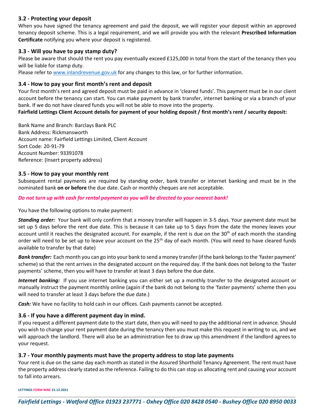# **3.2 - Protecting your deposit**

When you have signed the tenancy agreement and paid the deposit, we will register your deposit within an approved tenancy deposit scheme. This is a legal requirement, and we will provide you with the relevant **Prescribed Information Certificate** notifying you where your deposit is registered.

# **3.3 - Will you have to pay stamp duty?**

Please be aware that should the rent you pay eventually exceed £125,000 in total from the start of the tenancy then you will be liable for stamp duty.

Please refer to [www.inlandrevenue.gov.uk](http://www.inlandrevenue.gov.uk/) for any changes to this law, or for further information.

# **3.4 - How to pay your first month's rent and deposit**

Your first month's rent and agreed deposit must be paid in advance in 'cleared funds'. This payment must be in our client account before the tenancy can start. You can make payment by bank transfer, internet banking or via a branch of your bank. If we do not have cleared funds you will not be able to move into the property.

**Fairfield Lettings Client Account details for payment of your holding deposit / first month's rent / security deposit:** 

Bank Name and Branch: Barclays Bank PLC Bank Address: Rickmansworth Account name: Fairfield Lettings Limited, Client Account Sort Code: 20-91-79 Account Number: 93391078 Reference: (Insert property address)

# **3.5 - How to pay your monthly rent**

Subsequent rental payments are required by standing order, bank transfer or internet banking and must be in the nominated bank **on or before** the due date. Cash or monthly cheques are not acceptable.

#### *Do not turn up with cash for rental payment as you will be directed to your nearest bank!*

You have the following options to make payment:

*Standing order:* Your bank will only confirm that a money transfer will happen in 3-5 days. Your payment date must be set up 5 days before the rent due date. This is because it can take up to 5 days from the date the money leaves your account until it reaches the designated account. For example, if the rent is due on the  $30<sup>th</sup>$  of each month the standing order will need to be set up to leave your account on the  $25<sup>th</sup>$  day of each month. (You will need to have cleared funds available to transfer by that date)

*Bank transfer:* Each month you can go into your bank to send a money transfer (if the bank belongs to the 'faster payment' scheme) so that the rent arrives in the designated account on the required day. If the bank does not belong to the 'faster payments' scheme, then you will have to transfer at least 3 days before the due date.

*Internet banking:* If you use internet banking you can either set up a monthly transfer to the designated account or manually instruct the payment monthly online (again if the bank do not belong to the 'faster payments' scheme then you will need to transfer at least 3 days before the due date.)

**Cash:** We have no facility to hold cash in our offices. Cash payments cannot be accepted.

# **3.6 - If you have a different payment day in mind.**

If you request a different payment date to the start date, then you will need to pay the additional rent in advance. Should you wish to change your rent payment date during the tenancy then you must make this request in writing to us, and we will approach the landlord. There will also be an administration fee to draw up this amendment if the landlord agrees to your request.

# **3.7 - Your monthly payments must have the property address to stop late payments**

Your rent is due on the same day each month as stated in the Assured Shorthold Tenancy Agreement. The rent must have the property address clearly stated as the reference. Failing to do this can stop us allocating rent and causing your account to fall into arrears.

**LETTINGS FORM NINE 21.12.2021**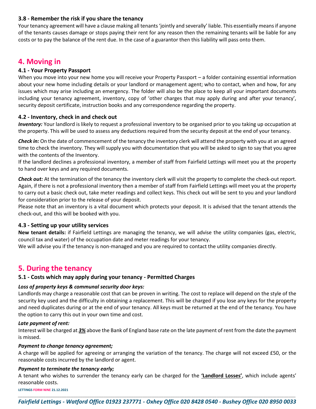# **3.8 - Remember the risk if you share the tenancy**

Your tenancy agreement will have a clause making all tenants 'jointly and severally' liable. This essentially means if anyone of the tenants causes damage or stops paying their rent for any reason then the remaining tenants will be liable for any costs or to pay the balance of the rent due. In the case of a guarantor then this liability will pass onto them.

# **4. Moving in**

# **4.1 - Your Property Passport**

When you move into your new home you will receive your Property Passport – a folder containing essential information about your new home including details or your landlord or management agent; who to contact, when and how, for any issues which may arise including an emergency. The folder will also be the place to keep all your important documents including your tenancy agreement, inventory, copy of 'other charges that may apply during and after your tenancy', security deposit certificate, instruction books and any correspondence regarding the property.

# **4.2 - Inventory, check in and check out**

*Inventory:* Your landlord is likely to request a professional inventory to be organised prior to you taking up occupation at the property. This will be used to assess any deductions required from the security deposit at the end of your tenancy.

*Check in:* On the date of commencement of the tenancy the inventory clerk will attend the property with you at an agreed time to check the inventory. They will supply you with documentation that you will be asked to sign to say that you agree with the contents of the Inventory.

If the landlord declines a professional inventory, a member of staff from Fairfield Lettings will meet you at the property to hand over keys and any required documents.

*Check out:* At the termination of the tenancy the inventory clerk will visit the property to complete the check-out report. Again, if there is not a professional inventory then a member of staff from Fairfield Lettings will meet you at the property to carry out a basic check out, take meter readings and collect keys. This check out will be sent to you and your landlord for consideration prior to the release of your deposit.

Please note that an inventory is a vital document which protects your deposit. It is advised that the tenant attends the check-out, and this will be booked with you.

# **4.3 - Setting up your utility services**

**New tenant details:** if Fairfield Lettings are managing the tenancy, we will advise the utility companies (gas, electric, council tax and water) of the occupation date and meter readings for your tenancy.

We will advise you if the tenancy is non-managed and you are required to contact the utility companies directly.

# **5. During the tenancy**

# **5.1 - Costs which may apply during your tenancy - Permitted Charges**

# *Loss of property keys & communal security door keys:*

Landlords may charge a reasonable cost that can be proven in writing. The cost to replace will depend on the style of the security key used and the difficulty in obtaining a replacement. This will be charged if you lose any keys for the property and need duplicates during or at the end of your tenancy. All keys must be returned at the end of the tenancy. You have the option to carry this out in your own time and cost.

#### *Late payment of rent:*

Interest will be charged at *3%* above the Bank of England base rate on the late payment of rent from the date the payment is missed.

#### *Payment to change tenancy agreement;*

A charge will be applied for agreeing or arranging the variation of the tenancy. The charge will not exceed £50, or the reasonable costs incurred by the landlord or agent.

# *Payment to terminate the tenancy early;*

A tenant who wishes to surrender the tenancy early can be charged for the **'Landlord Losses'**, which include agents' reasonable costs.

**LETTINGS FORM NINE 21.12.2021**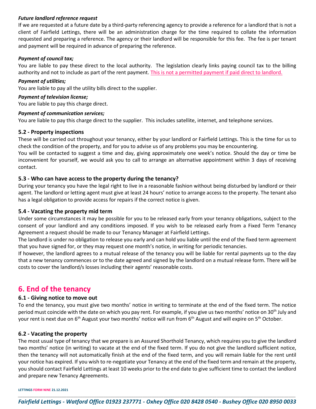#### *Future landlord reference request*

If we are requested at a future date by a third-party referencing agency to provide a reference for a landlord that is not a client of Fairfield Lettings, there will be an administration charge for the time required to collate the information requested and preparing a reference. The agency or their landlord will be responsible for this fee. The fee is per tenant and payment will be required in advance of preparing the reference.

#### *Payment of council tax;*

You are liable to pay these direct to the local authority. The legislation clearly links paying council tax to the billing authority and not to include as part of the rent payment. This is not a permitted payment if paid direct to landlord.

#### *Payment of utilities;*

You are liable to pay all the utility bills direct to the supplier.

#### *Payment of television license;*

You are liable to pay this charge direct.

#### *Payment of communication services;*

You are liable to pay this charge direct to the supplier. This includes satellite, internet, and telephone services.

#### **5.2 - Property inspections**

These will be carried out throughout your tenancy, either by your landlord or Fairfield Lettings. This is the time for us to check the condition of the property, and for you to advise us of any problems you may be encountering.

You will be contacted to suggest a time and day, giving approximately one week's notice. Should the day or time be inconvenient for yourself, we would ask you to call to arrange an alternative appointment within 3 days of receiving contact.

# **5.3 - Who can have access to the property during the tenancy?**

During your tenancy you have the legal right to live in a reasonable fashion without being disturbed by landlord or their agent. The landlord or letting agent must give at least 24 hours' notice to arrange access to the property. The tenant also has a legal obligation to provide access for repairs if the correct notice is given.

#### **5.4 - Vacating the property mid term**

Under some circumstances it may be possible for you to be released early from your tenancy obligations, subject to the consent of your landlord and any conditions imposed. If you wish to be released early from a Fixed Term Tenancy Agreement a request should be made to our Tenancy Manager at Fairfield Lettings.

The landlord is under no obligation to release you early and can hold you liable until the end of the fixed term agreement that you have signed for, or they may request one month's notice, in writing for periodic tenancies.

If however, the landlord agrees to a mutual release of the tenancy you will be liable for rental payments up to the day that a new tenancy commences or to the date agreed and signed by the landlord on a mutual release form. There will be costs to cover the landlord/s losses including their agents' reasonable costs.

# **6. End of the tenancy**

# **6.1 - Giving notice to move out**

To end the tenancy, you must give two months' notice in writing to terminate at the end of the fixed term. The notice period must coincide with the date on which you pay rent. For example, if you give us two months' notice on  $30<sup>th</sup>$  July and your rent is next due on 6<sup>th</sup> August your two months' notice will run from 6<sup>th</sup> August and will expire on 5<sup>th</sup> October.

#### **6.2 - Vacating the property**

The most usual type of tenancy that we prepare is an Assured Shorthold Tenancy, which requires you to give the landlord two months' notice (in writing) to vacate at the end of the fixed term. If you do not give the landlord sufficient notice, then the tenancy will not automatically finish at the end of the fixed term, and you will remain liable for the rent until your notice has expired. If you wish to re-negotiate your Tenancy at the end of the fixed term and remain at the property, you should contact Fairfield Lettings at least 10 weeks prior to the end date to give sufficient time to contact the landlord and prepare new Tenancy Agreements.

**LETTINGS FORM NINE 21.12.2021**